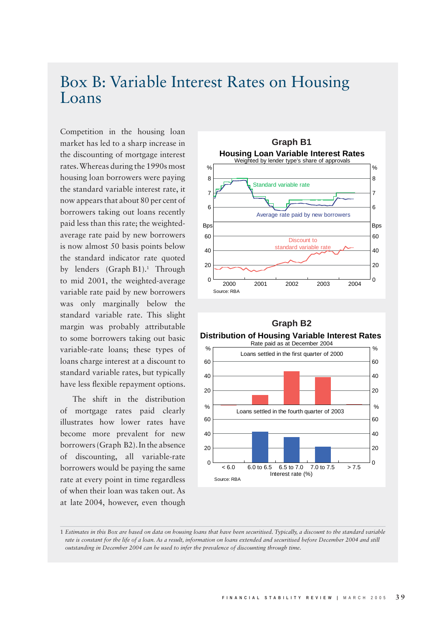## Box B: Variable Interest Rates on Housing Loans

Competition in the housing loan market has led to a sharp increase in the discounting of mortgage interest rates. Whereas during the 1990s most housing loan borrowers were paying the standard variable interest rate, it now appears that about 80 per cent of borrowers taking out loans recently paid less than this rate; the weightedaverage rate paid by new borrowers is now almost 50 basis points below the standard indicator rate quoted by lenders (Graph B1).<sup>1</sup> Through to mid 2001, the weighted-average variable rate paid by new borrowers was only marginally below the standard variable rate. This slight margin was probably attributable to some borrowers taking out basic variable-rate loans; these types of loans charge interest at a discount to standard variable rates, but typically have less flexible repayment options.

The shift in the distribution of mortgage rates paid clearly illustrates how lower rates have become more prevalent for new borrowers (Graph B2). In the absence of discounting, all variable-rate borrowers would be paying the same rate at every point in time regardless of when their loan was taken out. As at late 2004, however, even though





## **Distribution of Housing Variable Interest Rates**



<sup>1</sup> *Estimates in this Box are based on data on housing loans that have been securitised. Typically, a discount to the standard variable rate is constant for the life of a loan. As a result, information on loans extended and securitised before December 2004 and still outstanding in December 2004 can be used to infer the prevalence of discounting through time.*